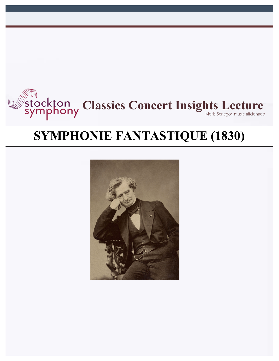

# **SYMPHONIE FANTASTIQUE (1830)**

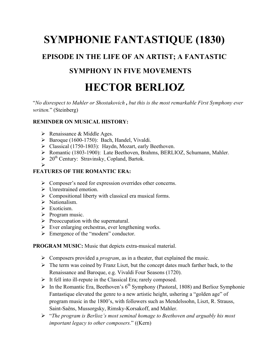# **SYMPHONIE FANTASTIQUE (1830)**

# **EPISODE IN THE LIFE OF AN ARTIST; A FANTASTIC**

# **SYMPHONY IN FIVE MOVEMENTS**

# **HECTOR BERLIOZ**

"*No disrespect to Mahler or Shostakovich , but this is the most remarkable First Symphony ever written.*" (Steinberg)

### **REMINDER ON MUSICAL HISTORY:**

- $\triangleright$  Renaissance & Middle Ages.
- $\triangleright$  Baroque (1600-1750): Bach, Handel, Vivaldi.
- Ø Classical (1750-1803): Haydn, Mozart, early Beethoven.
- Ø Romantic (1803-1900): Late Beethoven, Brahms, BERLIOZ, Schumann, Mahler.
- $\geq 20^{th}$  Century: Stravinsky, Copland, Bartok.
- Ø

# **FEATURES OF THE ROMANTIC ERA:**

- Ø Composer's need for expression overrides other concerns.
- Ø Unrestrained emotion.
- $\triangleright$  Compositional liberty with classical era musical forms.
- $\triangleright$  Nationalism.
- $\triangleright$  Exoticism.
- $\triangleright$  Program music.
- $\triangleright$  Preoccupation with the supernatural.
- $\triangleright$  Ever enlarging orchestras, ever lengthening works.
- Ø Emergence of the "modern" conductor.

**PROGRAM MUSIC:** Music that depicts extra-musical material.

- Ø Composers provided a *program*, as in a theater, that explained the music.
- $\triangleright$  The term was coined by Franz Liszt, but the concept dates much farther back, to the Renaissance and Baroque, e.g. Vivaldi Four Seasons (1720).
- $\triangleright$  It fell into ill-repute in the Classical Era; rarely composed.
- $\triangleright$  In the Romantic Era, Beethoven's 6<sup>th</sup> Symphony (Pastoral, 1808) and Berlioz Symphonie Fantastique elevated the genre to a new artistic height, ushering a "golden age" of program music in the 1800's, with followers such as Mendelssohn, Liszt, R. Strauss, Saint-Saëns, Mussorgsky, Rimsky-Korsakoff, and Mahler.
- Ø "*The program is Berlioz's most seminal homage to Beethoven and arguably his most important legacy to other composers.*" ((Kern)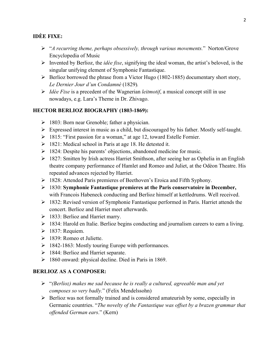### **IDÈE FIXE:**

- Ø "*A recurring theme, perhaps obsessively, through various movements.*" Norton/Grove Encyclopedia of Music
- Ø Invented by Berlioz, the *idèe fixe*, signifying the ideal woman, the artist's beloved, is the singular unifying element of Symphonie Fantastique.
- $\triangleright$  Berlioz borrowed the phrase from a Victor Hugo (1802-1885) documentary short story, *Le Dernier Jour d'un Condamnè* (1829)*.*
- Ø *Idèe Fixe* is a precedent of the Wagnerian *leitmotif*, a musical concept still in use nowadays, e.g. Lara's Theme in Dr. Zhivago.

### **HECTOR BERLIOZ BIOGRAPHY (1803-1869):**

- $\geq 1803$ : Born near Grenoble; father a physician.
- Ø Expressed interest in music as a child, but discouraged by his father. Mostly self-taught.
- Ø 1815: "First passion for a woman," at age 12, toward Estelle Fornier.
- $\geq$  1821: Medical school in Paris at age 18. He detested it.
- $\triangleright$  1824: Despite his parents' objections, abandoned medicine for music.
- $\geq 1827$ : Smitten by Irish actress Harriet Smithson, after seeing her as Ophelia in an English theatre company performance of Hamlet and Romeo and Juliet, at the Odèon Theatre. His repeated advances rejected by Harriet.
- Ø 1828: Attended Paris premieres of Beethoven's Eroica and Fifth Syphony.
- Ø 1830: **Symphonie Fantastique premieres at the Paris conservatoire in December,**  with Francois Habeneck conducting and Berlioz himself at kettledrums. Well received.
- $\geq$  1832: Revised version of Symphonie Fantastique performed in Paris. Harriet attends the concert. Berlioz and Harriet meet afterwards.
- $\geq$  1833: Berlioz and Harriet marry.
- $\geq$  1834: Harold en Italie. Berlioz begins conducting and journalism careers to earn a living.
- $\geq$  1837: Requiem.
- Ø 1839: Romeo et Juliette.
- $\geq 1842-1863$ : Mostly touring Europe with performances.
- $\geq$  1844: Berlioz and Harriet separate.
- $\geq$  1860 onward: physical decline. Died in Paris in 1869.

#### **BERLIOZ AS A COMPOSER:**

- Ø "*(Berlioz) makes me sad because he is really a cultured, agreeable man and yet composes so very badly.*" (Felix Mendelssohn)
- $\triangleright$  Berlioz was not formally trained and is considered amateurish by some, especially in Germanic countries. "*The novelty of the Fantastique was offset by a brazen grammar that offended German ears*." (Kern)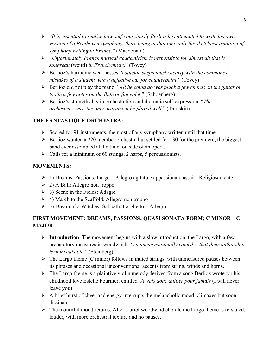- Ø "*It is essential to realize how self-consciously Berlioz has attempted to write his own version of a Beethoven symphony, there being at that time only the sketchiest tradition of symphony writing in France.*" (Macdonald)
- Ø "*Unfortunately French musical academicism is responsible for almost all that is saugreau* (weird) *in French music.*" (Tovey)
- Ø Berlioz's harmonic weaknesses "*coincide suspiciously nearly with the commonest mistakes of a student with a defective ear for counterpoint.*" (Tovey)
- Ø Berlioz did not play the piano. "*All he could do was pluck a few chords on the guitar or tootle a few notes on the flute or flageolet.*" (Schoenberg)
- Ø Berlioz's strengths lay in orchestration and dramatic self-expression. "*The orchestra…was the only instrument he played well.*" (Taruskin)

## **THE FANTASTIQUE ORCHESTRA:**

- $\triangleright$  Scored for 91 instruments, the most of any symphony written until that time.
- $\triangleright$  Berlioz wanted a 220 member orchestra but settled for 130 for the premiere, the biggest band ever assembled at the time, outside of an opera.
- $\triangleright$  Calls for a minimum of 60 strings, 2 harps, 5 percussionists.

# **MOVEMENTS:**

- $\triangleright$  1) Dreams, Passions: Largo Allegro agitato e appassionato assai Religiosamente
- $\geq$  2) A Ball: Allegro non troppo
- $\geq$  3) Scene in the Fields: Adagio
- $\geq 4$ ) March to the Scaffold: Allegro non troppo
- $\geq$  5) Dream of a Witches' Sabbath: Larghetto Allegro

# **FIRST MOVEMENT: DREAMS, PASSIONS; QUASI SONATA FORM; C MINOR – C MAJOR**

- $\triangleright$  **Introduction**: The movement begins with a slow introduction, the Largo, with a few preparatory measures in woodwinds, "*so unconventionally voiced….that their authorship is unmistakable.*" (Steinberg).
- $\triangleright$  The Largo theme (C minor) follows in muted strings, with unmeasured pauses between its phrases and occasional unconventional accents from string, winds and horns.
- $\triangleright$  The Largo theme is a plaintive violin melody derived from a song Berlioz wrote for his childhood love Estelle Fournier, entitled *Je vais donc quitter pour jamais* (I will never leave you).
- $\triangleright$  A brief burst of cheer and energy interrupts the melancholic mood, climaxes but soon dissipates.
- $\triangleright$  The mournful mood returns. After a brief woodwind chorale the Largo theme is re-stated, louder, with more orchestral texture and no pauses.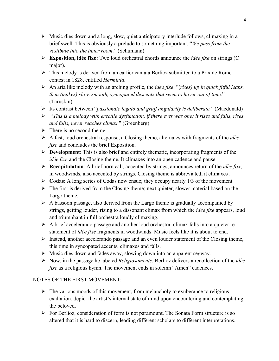- $\triangleright$  Music dies down and a long, slow, quiet anticipatory interlude follows, climaxing in a brief swell. This is obviously a prelude to something important. "*We pass from the vestibule into the inner room*." (Schumann)
- Ø **Exposition, idèe fixe:** Two loud orchestral chords announce the *idèe fixe* on strings (C major).
- $\triangleright$  This melody is derived from an earlier cantata Berlioz submitted to a Prix de Rome contest in 1828, entitled *Herminia*.
- Ø An aria like melody with an arching profile, the *idèe fixe* "(*rises) up in quick fitful leaps, then (makes) slow, smooth, syncopated descents that seem to hover out of time.*" (Taruskin)
- Ø Its contrast between "*passionate legato and gruff angularity is deliberate.*" (Macdonald)
- Ø "*This is a melody with erectile dysfunction, if there ever was one; it rises and falls, rises and falls, never reaches climax.*" (Greenberg)
- $\triangleright$  There is no second theme.
- Ø A fast, loud orchestral response, a Closing theme, alternates with fragments of the *idèe fixe* and concludes the brief Exposition.
- Ø **Development**: This is also brief and entirely thematic, incorporating fragments of the *idèe fixe* and the Closing theme. It climaxes into an open cadence and pause.
- Ø **Recapitulation**: A brief horn call, accented by strings, announces return of the *idèe fixe,*  in woodwinds, also accented by strings. Closing theme is abbreviated, it climaxes .
- Ø **Codas**: A long series of Codas now ensue; they occupy nearly 1/3 of the movement.
- $\triangleright$  The first is derived from the Closing theme; next quieter, slower material based on the Largo theme.
- $\triangleright$  A bassoon passage, also derived from the Largo theme is gradually accompanied by strings, getting louder, rising to a dissonant climax from which the *idèe fixe* appears, loud and triumphant in full orchestra loudly climaxing.
- $\triangleright$  A brief accelerando passage and another loud orchestral climax falls into a quieter restatement of *idèe fixe* fragments in woodwinds. Music feels like it is about to end.
- $\triangleright$  Instead, another accelerando passage and an even louder statement of the Closing theme, this time in syncopated accents, climaxes and falls.
- $\triangleright$  Music dies down and fades away, slowing down into an apparent segway.
- Ø Now, in the passage he labeled *Religiosamente*, Berlioz delivers a recollection of the *idèe fixe* as a religious hymn. The movement ends in solemn "Amen" cadences.

# NOTES OF THE FIRST MOVEMENT:

- $\triangleright$  The various moods of this movement, from melancholy to exuberance to religious exaltation, depict the artist's internal state of mind upon encountering and contemplating the beloved.
- $\triangleright$  For Berlioz, consideration of form is not paramount. The Sonata Form structure is so altered that it is hard to discern, leading different scholars to different interpretations.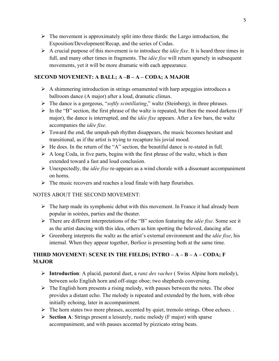- $\triangleright$  The movement is approximately split into three thirds: the Largo introduction, the Exposition/Development/Recap, and the series of Codas.
- Ø A crucial purpose of this movement is to introduce the *idèe fixe*. It is heard three times in full, and many other times in fragments. The *idèe fixe* will return sparsely in subsequent movements, yet it will be more dramatic with each appearance.

### **SECOND MOVEMENT: A BALL; A –B – A – CODA; A MAJOR**

- $\triangleright$  A shimmering introduction in strings ornamented with harp arpeggios introduces a ballroom dance (A major) after a loud, dramatic climax.
- Ø The dance is a gorgeous, "*softly scintillating*," waltz (Steinberg), in three phrases.
- $\triangleright$  In the "B" section, the first phrase of the waltz is repeated, but then the mood darkens (F major), the dance is interrupted, and the *idèe fixe* appears. After a few bars, the waltz accompanies the *idèe fixe.*
- $\triangleright$  Toward the end, the umpah-pah rhythm disappears, the music becomes hesitant and transitional, as if the artist is trying to recapture his jovial mood.
- $\triangleright$  He does. In the return of the "A" section, the beautiful dance is re-stated in full.
- $\triangleright$  A long Coda, in five parts, begins with the first phrase of the waltz, which is then extended toward a fast and loud conclusion.
- Ø Unexpectedly, the *idèe fixe* re-appears as a wind chorale with a dissonant accompaniment on horns.
- $\triangleright$  The music recovers and reaches a loud finale with harp flourishes.

#### NOTES ABOUT THE SECOND MOVEMENT:

- $\triangleright$  The harp made its symphonic debut with this movement. In France it had already been popular in soirèes, parties and the theater.
- Ø There are different interpretations of the "B" section featuring the *idèe fixe*. Some see it as the artist dancing with this idea, others as him spotting the beloved, dancing afar.
- Ø Greenberg interprets the waltz as the artist's external environment and the *idèe fixe*, his internal. When they appear together, Berlioz is presenting both at the same time.

# **THIRD MOVEMENT: SCENE IN THE FIELDS; INTRO – A – B – A – CODA; F MAJOR**

- Ø **Introduction**: A placid, pastoral duet, a *ranz des vaches* ( Swiss Alpine horn melody), between solo English horn and off-stage oboe; two shepherds conversing.
- $\triangleright$  The English horn presents a rising melody, with pauses between the notes. The oboe provides a distant echo. The melody is repeated and extended by the horn, with oboe initially echoing, later in accompaniment.
- $\triangleright$  The horn states two more phrases, accented by quiet, tremolo strings. Oboe echoes. .
- Ø **Section A**: Strings present a leisurely, rustic melody (F major) with sparse accompaniment, and with pauses accented by pizzicato string beats.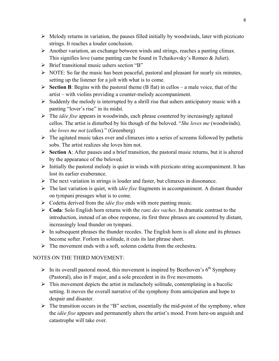- $\triangleright$  Melody returns in variation, the pauses filled initially by woodwinds, later with pizzicato strings. It reaches a louder conclusion.
- $\triangleright$  Another variation, an exchange between winds and strings, reaches a panting climax. This signifies love (same panting can be found in Tchaikovsky's Romeo & Juliet).
- $\triangleright$  Brief transitional music ushers section "B"
- $\triangleright$  NOTE: So far the music has been peaceful, pastoral and pleasant for nearly six minutes, setting up the listener for a jolt with what is to come.
- $\triangleright$  **Section B**: Begins with the pastoral theme (B flat) in cellos a male voice, that of the artist – with violins providing a counter-melody accompaniment.
- $\triangleright$  Suddenly the melody is interrupted by a shrill rise that ushers anticipatory music with a panting "lover's rise" in its midst.
- Ø The *idèe fixe* appears in woodwinds, each phrase countered by increasingly agitated cellos. The artist is disturbed by his though of the beloved. "*She loves me* (woodwinds)*, she loves me not* (cellos)*.*" (Greenberg)
- $\triangleright$  The agitated music takes over and climaxes into a series of screams followed by pathetic sobs. The artist realizes she loves him not.
- Ø **Section A**: After pauses and a brief transition, the pastoral music returns, but it is altered by the appearance of the beloved.
- $\triangleright$  Initially the pastoral melody is quiet in winds with pizzicato string accompaniment. It has lost its earlier exuberance.
- $\triangleright$  The next variation in strings is louder and faster, but climaxes in dissonance.
- Ø The last variation is quiet, with *idèe fixe* fragments in accompaniment. A distant thunder on tympani presages what is to come.
- Ø Codetta derived from the *idèe fixe* ends with more panting music.
- Ø **Coda**: Solo English horn returns with the *ranz des vaches*. In dramatic contrast to the introduction, instead of an oboe response, its first three phrases are countered by distant, increasingly loud thunder on tympani.
- $\triangleright$  In subsequent phrases the thunder recedes. The English horn is all alone and its phrases become softer. Forlorn in solitude, it cuts its last phrase short.
- $\triangleright$  The movement ends with a soft, solemn codetta from the orchestra.

## NOTES ON THE THIRD MOVEMENT:

- $\triangleright$  In its overall pastoral mood, this movement is inspired by Beethoven's 6<sup>th</sup> Symphony (Pastoral), also in F major, and a sole precedent in its five movements.
- $\triangleright$  This movement depicts the artist in melancholy solitude, contemplating in a bucolic setting. It moves the overall narrative of the symphony from anticipation and hope to despair and disaster.
- $\triangleright$  The transition occurs in the "B" section, essentially the mid-point of the symphony, when the *idèe fixe* appears and permanently alters the artist's mood. From here-on anguish and catastrophe will take over.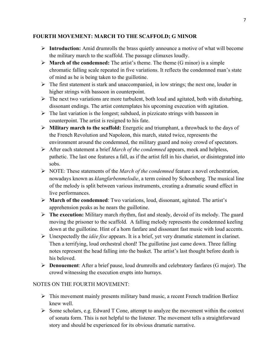#### **FOURTH MOVEMENT: MARCH TO THE SCAFFOLD; G MINOR**

- Ø **Introduction:** Amid drumrolls the brass quietly announce a motive of what will become the military march to the scaffold. The passage climaxes loudly.
- $\triangleright$  **March of the condemned:** The artist's theme. The theme (G minor) is a simple chromatic falling scale repeated in five variations. It reflects the condemned man's state of mind as he is being taken to the guillotine.
- $\triangleright$  The first statement is stark and unaccompanied, in low strings; the next one, louder in higher strings with bassoon in counterpoint.
- $\triangleright$  The next two variations are more turbulent, both loud and agitated, both with disturbing, dissonant endings. The artist contemplates his upcoming execution with agitation.
- $\triangleright$  The last variation is the longest; subdued, in pizzicato strings with bassoon in counterpoint. The artist is resigned to his fate.
- Ø **Military march to the scaffold:** Energetic and triumphant, a throwback to the days of the French Revolution and Napoleon, this march, stated twice, represents the environment around the condemned, the military guard and noisy crowd of spectators.
- Ø After each statement a brief *March of the condemned* appears, meek and helpless, pathetic. The last one features a fall, as if the artist fell in his chariot, or disintegrated into sobs.
- Ø NOTE: These statements of the *March of the condemned* feature a novel orchestration, nowadays known as *klangfarbenmelodie*, a term coined by Schoenberg. The musical line of the melody is split between various instruments, creating a dramatic sound effect in live performances.
- Ø **March of the condemned**: Two variations, loud, dissonant, agitated. The artist's apprehension peaks as he nears the guillotine.
- Ø **The execution:** Military march rhythm, fast and steady, devoid of its melody. The guard moving the prisoner to the scaffold. A falling melody represents the condemned keeling down at the guillotine. Hint of a horn fanfare and dissonant fast music with loud accents.
- Ø Unexpectedly the *idèe fixe* appears. It is a brief, yet very dramatic statement in clarinet. Then a terrifying, loud orchestral chord! The guillotine just came down. Three falling notes represent the head falling into the basket. The artist's last thought before death is his beloved.
- Ø **Denouement**: After a brief pause, loud drumrolls and celebratory fanfares (G major). The crowd witnessing the execution erupts into hurrays.

#### NOTES ON THE FOURTH MOVEMENT:

- $\triangleright$  This movement mainly presents military band music, a recent French tradition Berlioz knew well.
- $\triangleright$  Some scholars, e.g. Edward T Cone, attempt to analyze the movement within the context of sonata form. This is not helpful to the listener. The movement tells a straightforward story and should be experienced for its obvious dramatic narrative.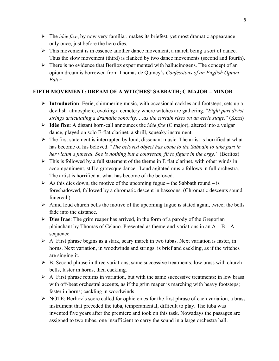- Ø The *idèe fixe*, by now very familiar, makes its briefest, yet most dramatic appearance only once, just before the hero dies.
- $\triangleright$  This movement is in essence another dance movement, a march being a sort of dance. Thus the slow movement (third) is flanked by two dance movements (second and fourth).
- $\triangleright$  There is no evidence that Berlioz experimented with hallucinogens. The concept of an opium dream is borrowed from Thomas de Quincy's *Confessions of an English Opium Eater*.

### **FIFTH MOVEMENT: DREAM OF A WITCHES' SABBATH; C MAJOR – MINOR**

- Ø **Introduction**: Eerie, shimmering music, with occasional cackles and footsteps, sets up a devilish atmosphere, evoking a cemetery where witches are gathering. "*Eight part divisi strings articulating a dramatic sonority, …as the curtain rises on an eerie stage*." (Kern)
- Ø **Idèe fixe:** A distant horn-call announces the *idèe fixe* (C major), altered into a vulgar dance, played on solo E-flat clarinet, a shrill, squeaky instrument.
- $\triangleright$  The first statement is interrupted by loud, dissonant music. The artist is horrified at what has become of his beloved. "*The beloved object has come to the Sabbath to take part in her victim's funeral. She is nothing but a courtesan, fit to figure in the orgy.*" *(Berlioz)*
- $\triangleright$  This is followed by a full statement of the theme in E flat clarinet, with other winds in accompaniment, still a grotesque dance. Loud agitated music follows in full orchestra. The artist is horrified at what has become of the beloved.
- $\triangleright$  As this dies down, the motive of the upcoming fugue the Sabbath round is foreshadowed, followed by a chromatic descent in bassoons. (Chromatic descents sound funereal.)
- $\triangleright$  Amid loud church bells the motive of the upcoming fugue is stated again, twice; the bells fade into the distance.
- Ø **Dies Irae**: The grim reaper has arrived, in the form of a parody of the Gregorian plainchant by Thomas of Celano. Presented as theme-and-variations in an  $A - B - A$ sequence.
- $\triangleright$  A: First phrase begins as a stark, scary march in two tubas. Next variation is faster, in horns. Next variation, in woodwinds and strings, is brief and cackling, as if the witches are singing it.
- $\triangleright$  B: Second phrase in three variations, same successive treatments: low brass with church bells, faster in horns, then cackling.
- $\triangleright$  A: First phrase returns in variation, but with the same successive treatments: in low brass with off-beat orchestral accents, as if the grim reaper is marching with heavy footsteps; faster in horns; cackling in woodwinds.
- $\triangleright$  NOTE: Berlioz's score called for ophicleides for the first phrase of each variation, a brass instrument that preceded the tuba, temperamental, difficult to play. The tuba was invented five years after the premiere and took on this task. Nowadays the passages are assigned to two tubas, one insufficient to carry the sound in a large orchestra hall.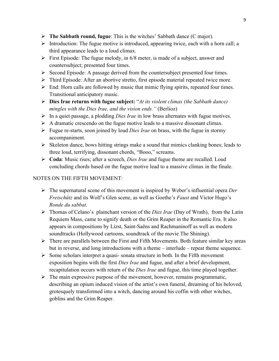- Ø **The Sabbath round, fugue**: This is the witches' Sabbath dance (C major).
- $\triangleright$  Introduction: The fugue motive is introduced, appearing twice, each with a horn call; a third appearance leads to a loud climax.
- $\triangleright$  First Episode: The fugue melody, in 6/8 meter, is made of a subject, answer and countersubject; presented four times.
- Ø Second Episode: A passage derived from the countersubject presented four times.
- $\triangleright$  Third Episode: After an abortive stretto, first episode material repeated twice more.
- $\triangleright$  End: Horn calls are followed by music that mimic flying spirits, repeated four times. Transitional anticipatory music.
- Ø **Dies Irae returns with fugue subject:** "*At its violent climax (the Sabbath dance) mingles with the Dies Irae, and the vision ends."* (Berlioz)
- Ø In a quiet passage, a plodding *Dies Irae* in low brass alternates with fugue motives.
- $\triangleright$  A dramatic crescendo on the fugue motive leads to a massive dissonant climax.
- Ø Fugue re-starts, soon joined by loud *Dies Irae* on brass, with the fugue in stormy accompaniment.
- $\triangleright$  Skeleton dance, bows hitting strings make a sound that mimics clanking bones; leads to three loud, terrifying, dissonant chords, "Booo," screams.
- Ø **Coda**: Music rises; after a screech, *Dies Irae* and fugue theme are recalled. Loud concluding chords based on the fugue motive lead to a massive climax in the finale.

## NOTES ON THE FIFTH MOVEMENT:

- Ø The supernatural scene of this movement is inspired by Weber's influential opera *Der Freischütz* and its Wolf's Glen scene, as well as Goethe's *Faust* and Victor Hugo's *Ronde du sabbat*.
- Ø Thomas of Celano's plainchant version of the *Dies Irae* (Day of Wrath), from the Latin Requiem Mass, came to signify death or the Grim Reaper in the Romantic Era. It also appears in compositions by Lizst, Saint-Saëns and Rachmaninoff as well as modern soundtracks (Hollywood cartoons, soundtrack of the movie The Shining).
- $\triangleright$  There are parallels between the First and Fifth Movements. Both feature similar key areas but in reverse, and long introductions with a theme – interlude – repeat theme sequence.
- $\triangleright$  Some scholars interpret a quasi-sonata structure in both. In the Fifth movement exposition begins with the first *Dies Irae* and fugue, and after a brief development, recapitulation occurs with return of the *Dies Irae* and fugue, this time played together.
- $\triangleright$  The main expressive purpose of the movement, however, remains programmatic, describing an opium induced vision of the artist's own funeral, dreaming of his beloved, grotesquely transformed into a witch, dancing around his coffin with other witches, goblins and the Grim Reaper.